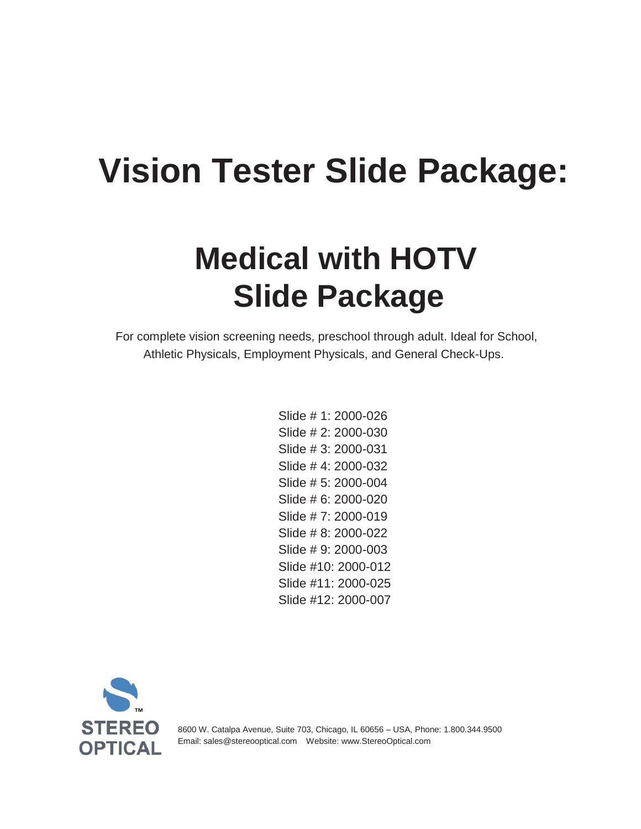# **Vision Tester Slide Package:**

## **Medical with HOTV Slide Package**

For complete vision screening needs, preschool through adult. Ideal for School, Athletic Physicals, Employment Physicals, and General Check-Ups.

> Slide # 1: 2000-026 Slide # 2: 2000-030 Slide # 3: 2000-031 Slide # 4: 2000-032 Slide # 5: 2000-004 Slide # 6: 2000-020 Slide # 7: 2000-019 Slide # 8: 2000-022 Slide # 9: 2000-003 Slide #10: 2000-012 Slide #11: 2000-025 Slide #12: 2000-007



8600 W. Catalpa Avenue, Suite 703, Chicago, IL 60656 – USA, Phone: 1.800.344.9500 Email: [sales@stereooptical.com](mailto:sales@stereooptical.com) Website: [www.StereoOptical.com](http://www.stereooptical.com/)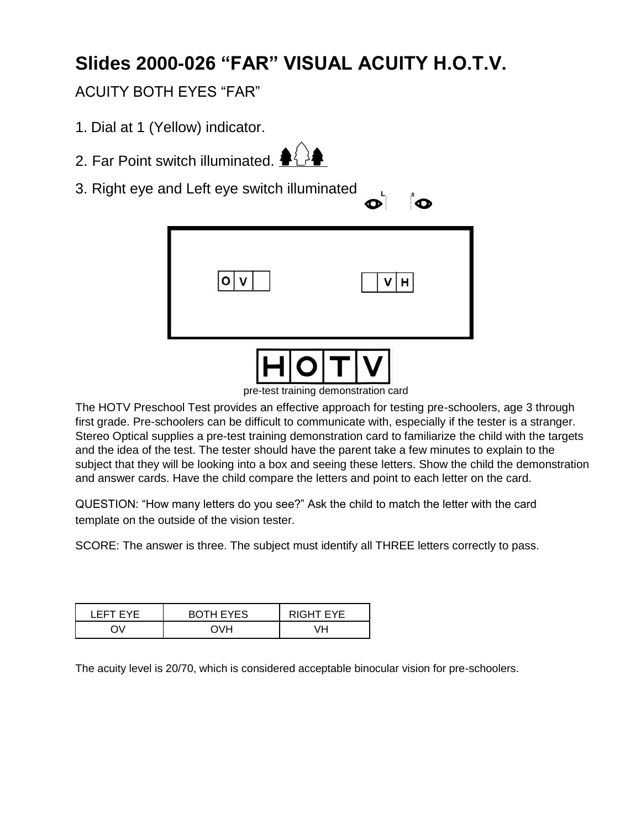## **Slides 2000-026 "FAR" VISUAL ACUITY H.O.T.V.**

#### ACUITY BOTH EYES "FAR"

- 1. Dial at 1 (Yellow) indicator.
- 2. Far Point switch illuminated.  $\clubsuit$
- 3. Right eye and Left eye switch illuminated



pre-test training demonstration card

The HOTV Preschool Test provides an effective approach for testing pre-schoolers, age 3 through first grade. Pre-schoolers can be difficult to communicate with, especially if the tester is a stranger. Stereo Optical supplies a pre-test training demonstration card to familiarize the child with the targets and the idea of the test. The tester should have the parent take a few minutes to explain to the subject that they will be looking into a box and seeing these letters. Show the child the demonstration and answer cards. Have the child compare the letters and point to each letter on the card.

QUESTION: "How many letters do you see?" Ask the child to match the letter with the card template on the outside of the vision tester.

SCORE: The answer is three. The subject must identify all THREE letters correctly to pass.

| I FFT FYF | <b>BOTH EYES</b> | RIGHT EYE |
|-----------|------------------|-----------|
|           |                  |           |

The acuity level is 20/70, which is considered acceptable binocular vision for pre-schoolers.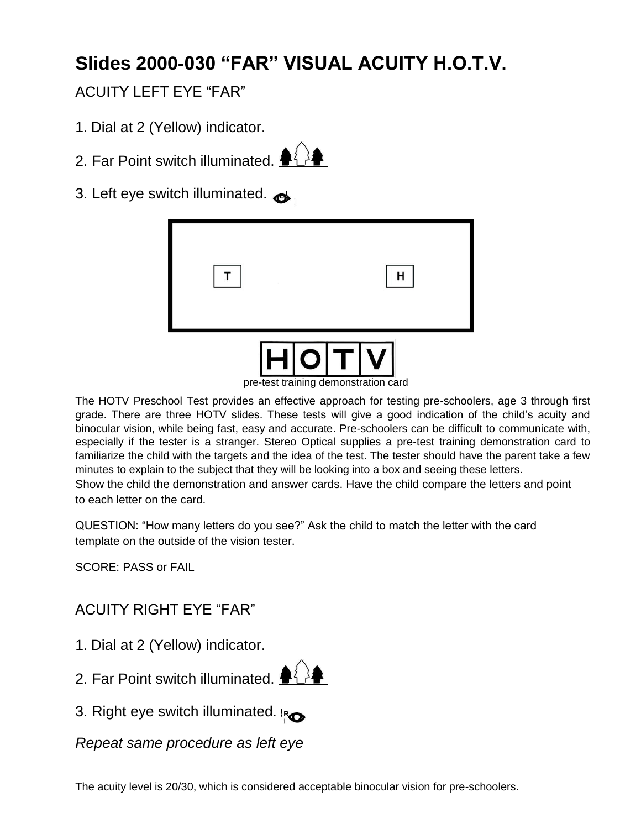## **Slides 2000-030 "FAR" VISUAL ACUITY H.O.T.V.**

#### ACUITY LEFT EYE "FAR"

- 1. Dial at 2 (Yellow) indicator.
- 2. Far Point switch illuminated.  $\triangle$
- 3. Left eye switch illuminated.  $\bullet$

| H O T V |  |  |
|---------|--|--|

pre-test training demonstration card

The HOTV Preschool Test provides an effective approach for testing pre-schoolers, age 3 through first grade. There are three HOTV slides. These tests will give a good indication of the child's acuity and binocular vision, while being fast, easy and accurate. Pre-schoolers can be difficult to communicate with, especially if the tester is a stranger. Stereo Optical supplies a pre-test training demonstration card to familiarize the child with the targets and the idea of the test. The tester should have the parent take a few minutes to explain to the subject that they will be looking into a box and seeing these letters. Show the child the demonstration and answer cards. Have the child compare the letters and point to each letter on the card.

QUESTION: "How many letters do you see?" Ask the child to match the letter with the card template on the outside of the vision tester.

SCORE: PASS or FAIL

#### ACUITY RIGHT EYE "FAR"

- 1. Dial at 2 (Yellow) indicator.
- 2. Far Point switch illuminated.  $\blacklozenge\{\}$
- 3. Right eye switch illuminated. **<sup>R</sup>**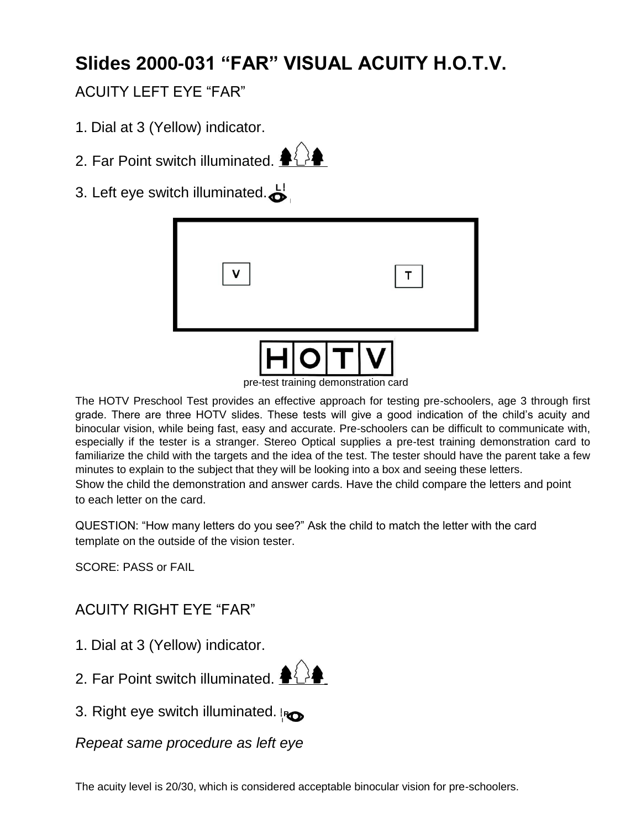## **Slides 2000-031 "FAR" VISUAL ACUITY H.O.T.V.**

#### ACUITY LEFT EYE "FAR"

- 1. Dial at 3 (Yellow) indicator.
- 2. Far Point switch illuminated.  $\clubsuit\{$  >



3. Left eye switch illuminated. **<sup>L</sup>**

| $H$ $O$ $T$ $V$ |   |
|-----------------|---|
| <b>V</b>        | T |

pre-test training demonstration card

The HOTV Preschool Test provides an effective approach for testing pre-schoolers, age 3 through first grade. There are three HOTV slides. These tests will give a good indication of the child's acuity and binocular vision, while being fast, easy and accurate. Pre-schoolers can be difficult to communicate with, especially if the tester is a stranger. Stereo Optical supplies a pre-test training demonstration card to familiarize the child with the targets and the idea of the test. The tester should have the parent take a few minutes to explain to the subject that they will be looking into a box and seeing these letters. Show the child the demonstration and answer cards. Have the child compare the letters and point to each letter on the card.

QUESTION: "How many letters do you see?" Ask the child to match the letter with the card template on the outside of the vision tester.

SCORE: PASS or FAIL

#### ACUITY RIGHT EYE "FAR"

- 1. Dial at 3 (Yellow) indicator.
- 2. Far Point switch illuminated.  $\blacklozenge\bigcirc$
- 3. Right eye switch illuminated. **<sup>R</sup>**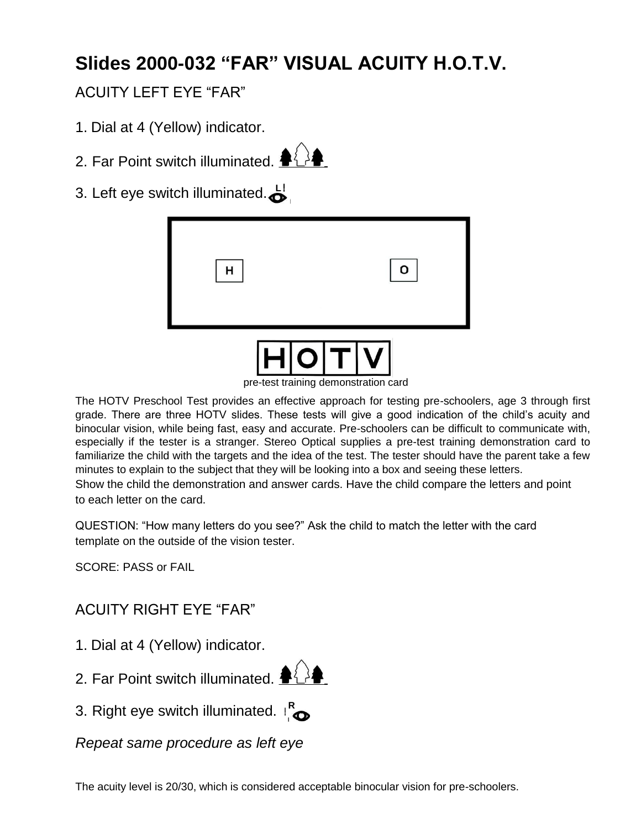## **Slides 2000-032 "FAR" VISUAL ACUITY H.O.T.V.**

#### ACUITY LEFT EYE "FAR"

- 1. Dial at 4 (Yellow) indicator.
- 2. Far Point switch illuminated.  $\langle \rangle$
- 3. Left eye switch illuminated. **<sup>L</sup>**

| н |  |
|---|--|
|   |  |



pre-test training demonstration card

The HOTV Preschool Test provides an effective approach for testing pre-schoolers, age 3 through first grade. There are three HOTV slides. These tests will give a good indication of the child's acuity and binocular vision, while being fast, easy and accurate. Pre-schoolers can be difficult to communicate with, especially if the tester is a stranger. Stereo Optical supplies a pre-test training demonstration card to familiarize the child with the targets and the idea of the test. The tester should have the parent take a few minutes to explain to the subject that they will be looking into a box and seeing these letters. Show the child the demonstration and answer cards. Have the child compare the letters and point to each letter on the card.

QUESTION: "How many letters do you see?" Ask the child to match the letter with the card template on the outside of the vision tester.

SCORE: PASS or FAIL

#### ACUITY RIGHT EYE "FAR"

- 1. Dial at 4 (Yellow) indicator.
- 2. Far Point switch illuminated.  $\clubsuit\{$  >
- 3. Right eye switch illuminated. **<sup>R</sup>**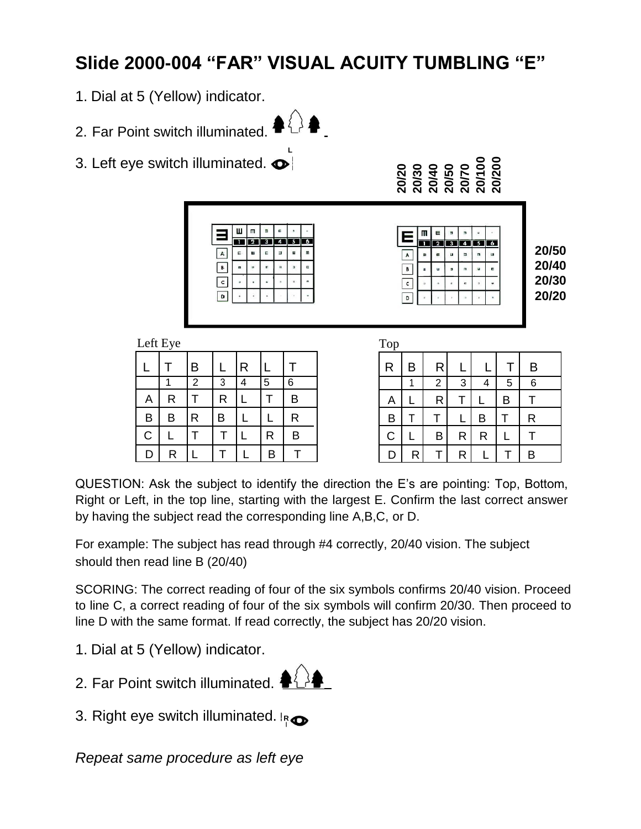## **Slide 2000-004 "FAR" VISUAL ACUITY TUMBLING "E"**

 $\{\}$ 

- 1. Dial at 5 (Yellow) indicator.
- 2. Far Point switch illuminated.

 $L$ eft Eye

**L** 3. Left eye switch illuminated.  $\bullet$ 



**20/20 20/30 20/40 20/50 20/70 20/100 20/200**

 $\blacksquare$  $\mathsf{e}% _{T}$ 

Ε

 $\blacktriangle$ 

 $\overline{\mathbf{B}}$  $\overline{c}$  $\overline{\phantom{a}}$ 



| Lui Lyu     |   |                |              |   |   |   |
|-------------|---|----------------|--------------|---|---|---|
|             |   | B              |              | R |   |   |
|             |   | $\overline{2}$ | 3            | 4 | 5 | 6 |
| Α           | R |                | $\mathsf R$  |   |   | B |
| B           | B | R              | B            |   | L | R |
| $\mathsf C$ |   |                | T            |   | R | B |
| D           | R |                | $\mathsf{T}$ |   | B |   |

| Top          |   |                |   |   |   |   |  |
|--------------|---|----------------|---|---|---|---|--|
| $\mathsf{R}$ | B | R              |   |   |   | Β |  |
|              | 1 | $\overline{c}$ | 3 | 4 | 5 | 6 |  |
| A            |   | R              | т |   | B |   |  |
| $\mathsf B$  |   |                |   | B |   | R |  |
| $\mathbf C$  |   | B              | R | R |   |   |  |
| D            | R |                | R |   |   | B |  |

QUESTION: Ask the subject to identify the direction the E's are pointing: Top, Bottom, Right or Left, in the top line, starting with the largest E. Confirm the last correct answer by having the subject read the corresponding line A,B,C, or D.

For example: The subject has read through #4 correctly, 20/40 vision. The subject should then read line B (20/40)

SCORING: The correct reading of four of the six symbols confirms 20/40 vision. Proceed to line C, a correct reading of four of the six symbols will confirm 20/30. Then proceed to line D with the same format. If read correctly, the subject has 20/20 vision.

1. Dial at 5 (Yellow) indicator.



3. Right eye switch illuminated. **R**<sub>O</sub>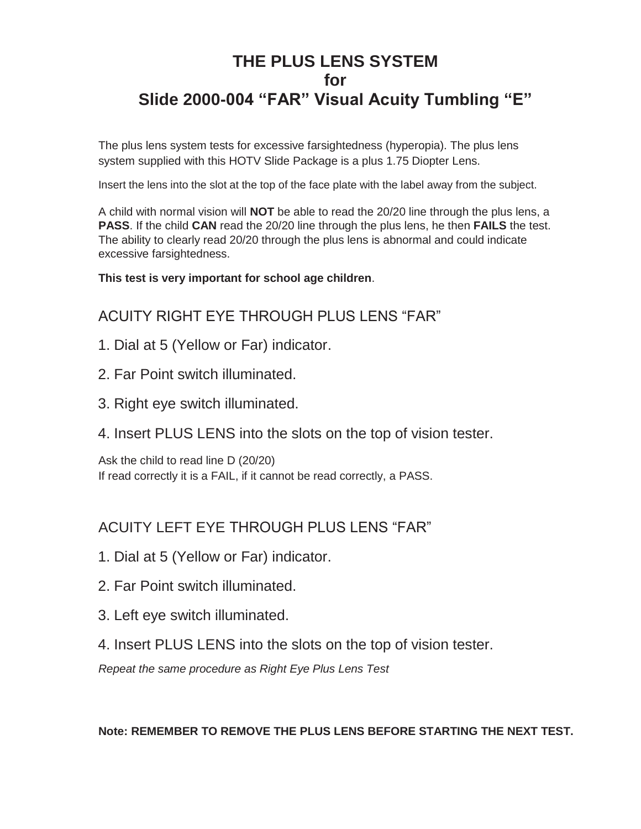#### **THE PLUS LENS SYSTEM for Slide 2000-004 "FAR" Visual Acuity Tumbling "E"**

The plus lens system tests for excessive farsightedness (hyperopia). The plus lens system supplied with this HOTV Slide Package is a plus 1.75 Diopter Lens.

Insert the lens into the slot at the top of the face plate with the label away from the subject.

A child with normal vision will **NOT** be able to read the 20/20 line through the plus lens, a **PASS**. If the child **CAN** read the 20/20 line through the plus lens, he then **FAILS** the test. The ability to clearly read 20/20 through the plus lens is abnormal and could indicate excessive farsightedness.

**This test is very important for school age children**.

#### ACUITY RIGHT EYE THROUGH PLUS LENS "FAR"

- 1. Dial at 5 (Yellow or Far) indicator.
- 2. Far Point switch illuminated.
- 3. Right eye switch illuminated.
- 4. Insert PLUS LENS into the slots on the top of vision tester.

Ask the child to read line D (20/20) If read correctly it is a FAIL, if it cannot be read correctly, a PASS.

#### ACUITY LEFT EYE THROUGH PLUS LENS "FAR"

- 1. Dial at 5 (Yellow or Far) indicator.
- 2. Far Point switch illuminated.
- 3. Left eye switch illuminated.
- 4. Insert PLUS LENS into the slots on the top of vision tester.

*Repeat the same procedure as Right Eye Plus Lens Test*

**Note: REMEMBER TO REMOVE THE PLUS LENS BEFORE STARTING THE NEXT TEST.**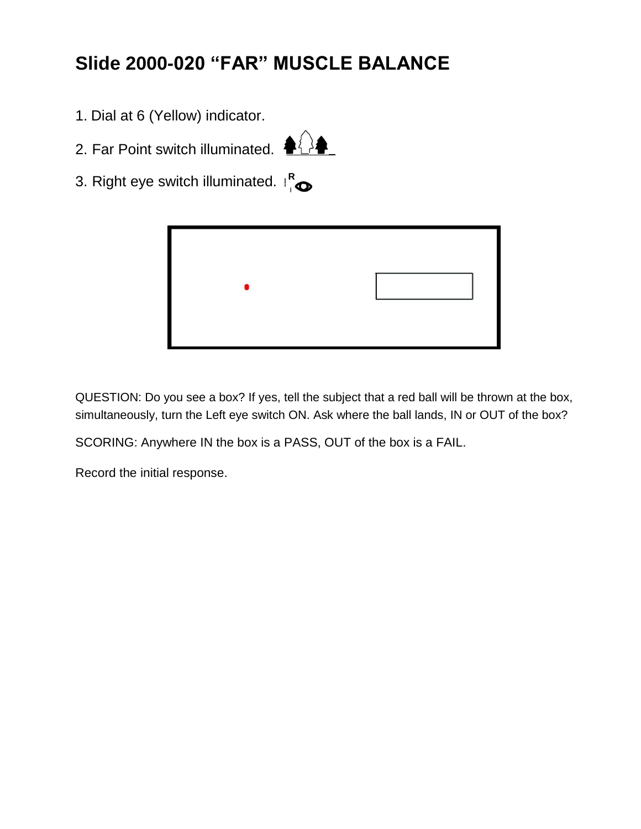## **Slide 2000-020 "FAR" MUSCLE BALANCE**

- 1. Dial at 6 (Yellow) indicator.
- 2. Far Point switch illuminated.  $\bigoplus$



3. Right eye switch illuminated. **<sup>R</sup>**



QUESTION: Do you see a box? If yes, tell the subject that a red ball will be thrown at the box, simultaneously, turn the Left eye switch ON. Ask where the ball lands, IN or OUT of the box?

SCORING: Anywhere IN the box is a PASS, OUT of the box is a FAIL.

Record the initial response.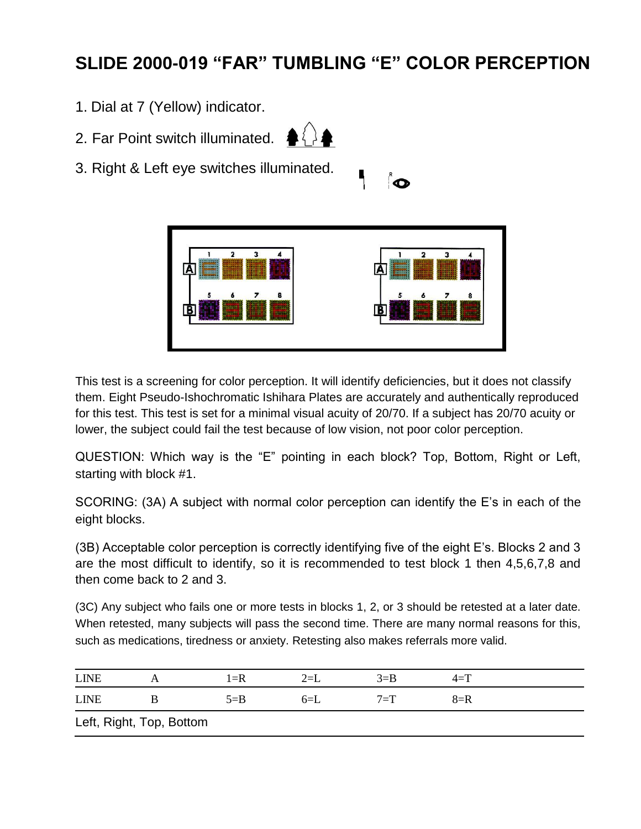### **SLIDE 2000-019 "FAR" TUMBLING "E" COLOR PERCEPTION**

- 1. Dial at 7 (Yellow) indicator.
- 2. Far Point switch illuminated.  $\langle \rangle$







This test is a screening for color perception. It will identify deficiencies, but it does not classify them. Eight Pseudo-Ishochromatic Ishihara Plates are accurately and authentically reproduced for this test. This test is set for a minimal visual acuity of 20/70. If a subject has 20/70 acuity or lower, the subject could fail the test because of low vision, not poor color perception.

QUESTION: Which way is the "E" pointing in each block? Top, Bottom, Right or Left, starting with block #1.

SCORING: (3A) A subject with normal color perception can identify the E's in each of the eight blocks.

(3B) Acceptable color perception is correctly identifying five of the eight E's. Blocks 2 and 3 are the most difficult to identify, so it is recommended to test block 1 then 4,5,6,7,8 and then come back to 2 and 3.

(3C) Any subject who fails one or more tests in blocks 1, 2, or 3 should be retested at a later date. When retested, many subjects will pass the second time. There are many normal reasons for this, such as medications, tiredness or anxiety. Retesting also makes referrals more valid.

| <b>LINE</b> |                          | $1 = R$ | $2=$ L | $3 = B$ | $4 = T$ |  |
|-------------|--------------------------|---------|--------|---------|---------|--|
| <b>LINE</b> |                          | $5 = B$ | $6=$ L | $7 = T$ | $8=$ R  |  |
|             | Left, Right, Top, Bottom |         |        |         |         |  |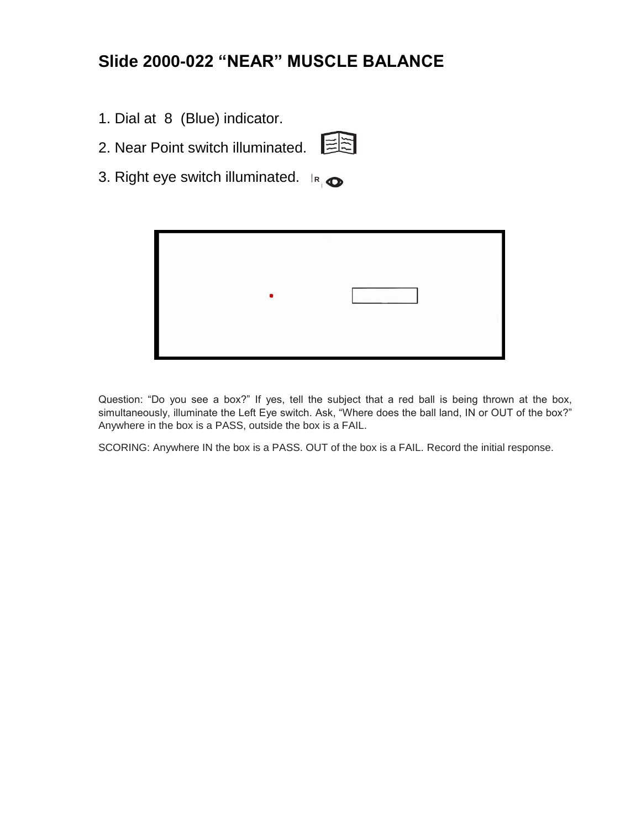#### **Slide 2000-022 "NEAR" MUSCLE BALANCE**

- 1. Dial at 8 (Blue) indicator.
- 2. Near Point switch illuminated.

3. Right eye switch illuminated. **<sup>R</sup>**



Question: "Do you see a box?" If yes, tell the subject that a red ball is being thrown at the box, simultaneously, illuminate the Left Eye switch. Ask, "Where does the ball land, IN or OUT of the box?" Anywhere in the box is a PASS, outside the box is a FAIL.

SCORING: Anywhere IN the box is a PASS. OUT of the box is a FAIL. Record the initial response.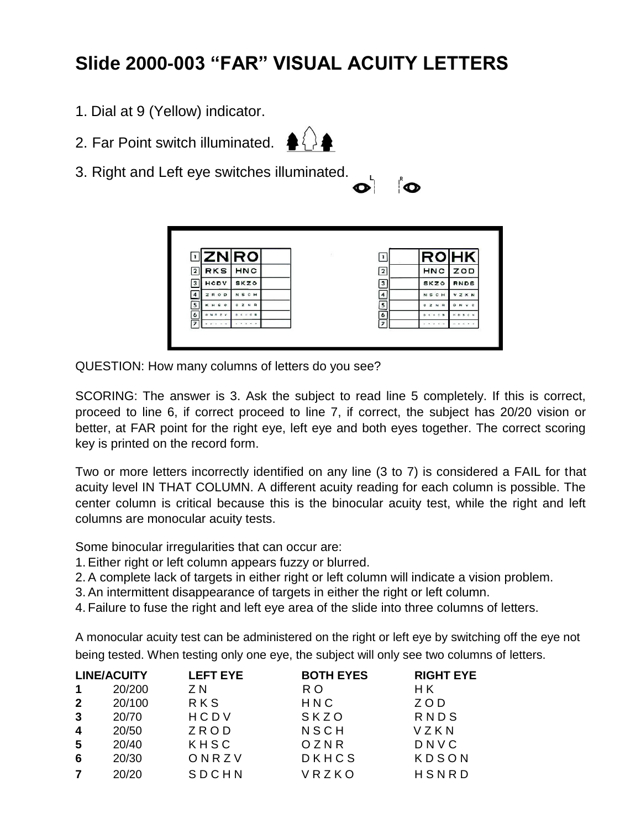## **Slide 2000-003 "FAR" VISUAL ACUITY LETTERS**

- 1. Dial at 9 (Yellow) indicator.
- 2. Far Point switch illuminated.  $\langle \,\rangle$



3. Right and Left eye switches illuminated.

| .R<br>ı |
|---------|
|         |

|                         |                 | ⊡ZN∣RO           |  |                | <b>ROHK</b>         |              |
|-------------------------|-----------------|------------------|--|----------------|---------------------|--------------|
| $\overline{2}$          | <b>RKS</b>      | <b>HNC</b>       |  | $\overline{2}$ | <b>HNC</b>          | ZOD          |
| 3                       | HODV            | <b>SKZO</b>      |  | 3              | <b>SKZO</b>         | <b>RNDS</b>  |
| $\overline{\mathbf{4}}$ | ZROD            | <b>NSCH</b>      |  | $\overline{4}$ | <b>NSCH</b>         | <b>VZKN</b>  |
| $\overline{\mathbf{5}}$ | KHSC            | $0Z$ N R         |  | 5              | 0 Z N R             | D N V C      |
| 6                       | <b>ONR 2 V</b>  | <b>D K H G B</b> |  | 6              | 0 1 1 0 3           | <b>HOSON</b> |
| 7                       | in.<br>$46 - 4$ | $x - x - x + 1$  |  | $\overline{z}$ | $x - 1 - 1 - 1 = 0$ | $    +$ $ +$ |

QUESTION: How many columns of letters do you see?

SCORING: The answer is 3. Ask the subject to read line 5 completely. If this is correct, proceed to line 6, if correct proceed to line 7, if correct, the subject has 20/20 vision or better, at FAR point for the right eye, left eye and both eyes together. The correct scoring key is printed on the record form.

Two or more letters incorrectly identified on any line (3 to 7) is considered a FAIL for that acuity level IN THAT COLUMN. A different acuity reading for each column is possible. The center column is critical because this is the binocular acuity test, while the right and left columns are monocular acuity tests.

Some binocular irregularities that can occur are:

- 1.Either right or left column appears fuzzy or blurred.
- 2.A complete lack of targets in either right or left column will indicate a vision problem.
- 3.An intermittent disappearance of targets in either the right or left column.
- 4. Failure to fuse the right and left eye area of the slide into three columns of letters.

A monocular acuity test can be administered on the right or left eye by switching off the eye not being tested. When testing only one eye, the subject will only see two columns of letters.

|              | <b>LINE/ACUITY</b> | <b>LEFT EYE</b> | <b>BOTH EYES</b> | <b>RIGHT EYE</b> |
|--------------|--------------------|-----------------|------------------|------------------|
| 1            | 20/200             | Z N             | R O              | H K              |
| $\mathbf{2}$ | 20/100             | <b>RKS</b>      | HNC              | ZOD              |
| 3            | 20/70              | HCDV            | SKZO             | RNDS             |
| 4            | 20/50              | ZROD            | NSCH             | VZKN             |
| -5           | 20/40              | KHSC            | OZNR             | DNVC             |
| 6            | 20/30              | ONRZV           | DKHCS            | KDSON            |
|              | 20/20              | SDCHN           | VRZKO            | HSNRD            |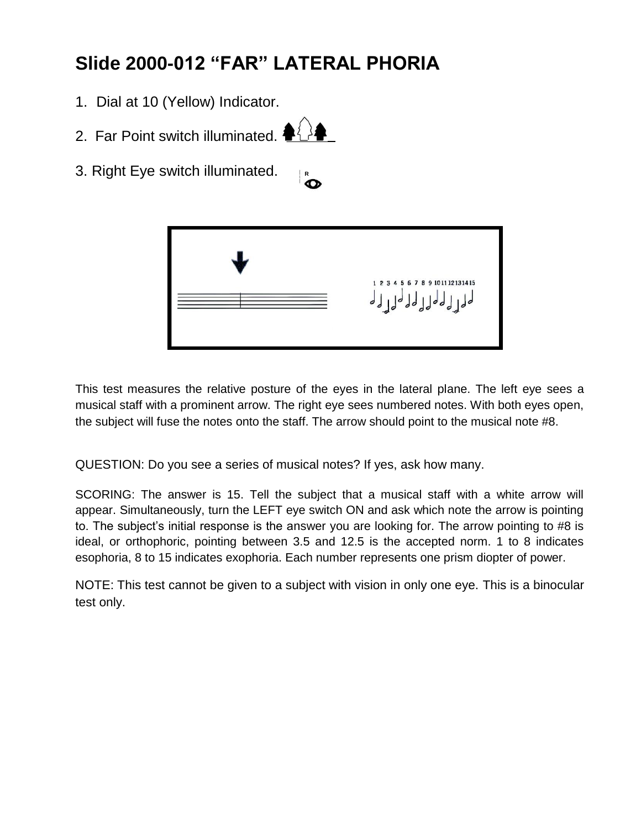## **Slide 2000-012 "FAR" LATERAL PHORIA**

- 1. Dial at 10 (Yellow) Indicator.
- 2. Far Point switch illuminated.  $\blacklozenge\downarrow\downarrow\downarrow\downarrow$
- 3. Right Eye switch illuminated. **<sup>R</sup>**



This test measures the relative posture of the eyes in the lateral plane. The left eye sees a musical staff with a prominent arrow. The right eye sees numbered notes. With both eyes open, the subject will fuse the notes onto the staff. The arrow should point to the musical note #8.

QUESTION: Do you see a series of musical notes? If yes, ask how many.

SCORING: The answer is 15. Tell the subject that a musical staff with a white arrow will appear. Simultaneously, turn the LEFT eye switch ON and ask which note the arrow is pointing to. The subject's initial response is the answer you are looking for. The arrow pointing to #8 is ideal, or orthophoric, pointing between 3.5 and 12.5 is the accepted norm. 1 to 8 indicates esophoria, 8 to 15 indicates exophoria. Each number represents one prism diopter of power.

NOTE: This test cannot be given to a subject with vision in only one eye. This is a binocular test only.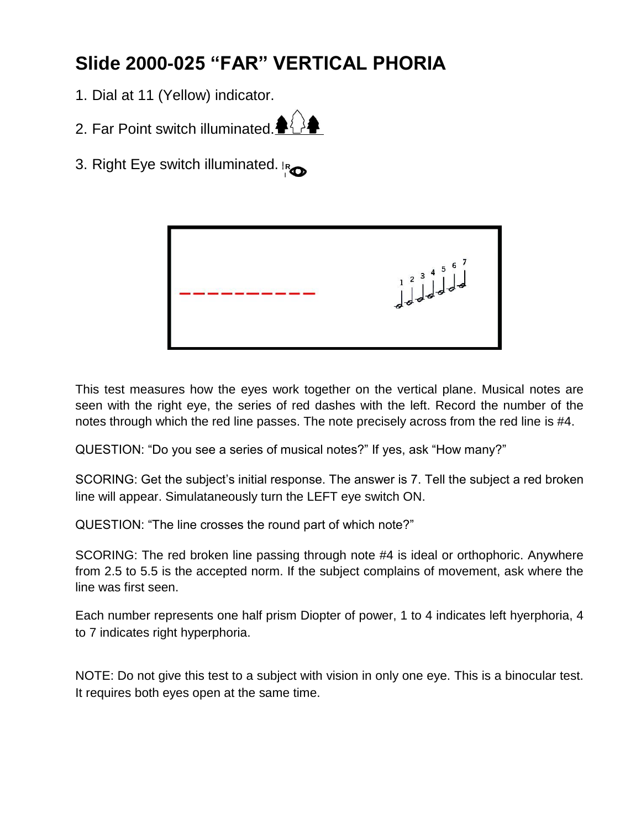## **Slide 2000-025 "FAR" VERTICAL PHORIA**

- 1. Dial at 11 (Yellow) indicator.
- 2. Far Point switch illuminated. $\triangleq$
- 3. Right Eye switch illuminated. **<sup>R</sup>**



This test measures how the eyes work together on the vertical plane. Musical notes are seen with the right eye, the series of red dashes with the left. Record the number of the notes through which the red line passes. The note precisely across from the red line is #4.

QUESTION: "Do you see a series of musical notes?" If yes, ask "How many?"

SCORING: Get the subject's initial response. The answer is 7. Tell the subject a red broken line will appear. Simulataneously turn the LEFT eye switch ON.

QUESTION: "The line crosses the round part of which note?"

SCORING: The red broken line passing through note #4 is ideal or orthophoric. Anywhere from 2.5 to 5.5 is the accepted norm. If the subject complains of movement, ask where the line was first seen.

Each number represents one half prism Diopter of power, 1 to 4 indicates left hyerphoria, 4 to 7 indicates right hyperphoria.

NOTE: Do not give this test to a subject with vision in only one eye. This is a binocular test. It requires both eyes open at the same time.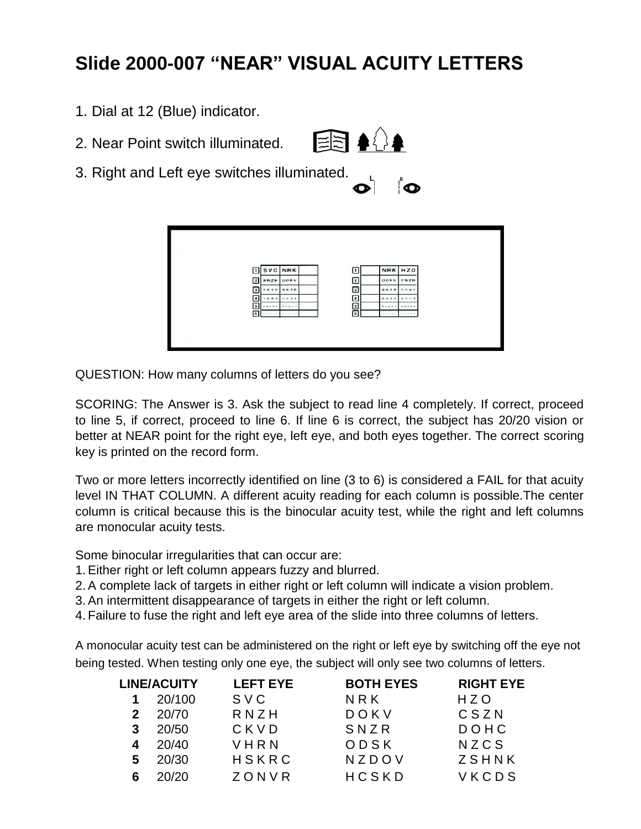## **Slide 2000-007 "NEAR" VISUAL ACUITY LETTERS**

- 1. Dial at 12 (Blue) indicator.
- 2. Near Point switch illuminated.



3. Right and Left eye switches illuminated.

| R,<br>D<br>-<br>۰<br>٦., |
|--------------------------|
|                          |

|                                 | <b>SVC NRK</b> | ⊡             |                 | NRK HZO     |  |
|---------------------------------|----------------|---------------|-----------------|-------------|--|
| 2<br>RNZH                       | DOKV           | $\sqrt{2}$    |                 | DOKY CSZN   |  |
| $\overline{\mathbf{3}}$<br>ckvp | SN ZR          | $\Box$        |                 | SNZR DONC   |  |
| ⊡                               | YMNN ODER      | ▣             |                 | 005X NZCS   |  |
| ⊡<br>                           | $x = 0, 0, 1$  | $\frac{5}{6}$ | 8.22.9.7        | $2.8 + n.4$ |  |
| ⊡<br>49-14039-1-120-2           | ACROSS FOR     |               | $-1.414144.741$ | 4.4043878   |  |

QUESTION: How many columns of letters do you see?

SCORING: The Answer is 3. Ask the subject to read line 4 completely. If correct, proceed to line 5, if correct, proceed to line 6. If line 6 is correct, the subject has 20/20 vision or better at NEAR point for the right eye, left eye, and both eyes together. The correct scoring key is printed on the record form.

Two or more letters incorrectly identified on line (3 to 6) is considered a FAIL for that acuity level IN THAT COLUMN. A different acuity reading for each column is possible.The center column is critical because this is the binocular acuity test, while the right and left columns are monocular acuity tests.

Some binocular irregularities that can occur are:

- 1.Either right or left column appears fuzzy and blurred.
- 2.A complete lack of targets in either right or left column will indicate a vision problem.
- 3.An intermittent disappearance of targets in either the right or left column.
- 4. Failure to fuse the right and left eye area of the slide into three columns of letters.

A monocular acuity test can be administered on the right or left eye by switching off the eye not being tested. When testing only one eye, the subject will only see two columns of letters.

|   | <b>LINE/ACUITY</b> | <b>LEFT EYE</b> | <b>BOTH EYES</b> | <b>RIGHT EYE</b> |
|---|--------------------|-----------------|------------------|------------------|
|   | 20/100             | SVC             | NRK              | HZO              |
|   | 20/70              | RNZH            | DOKV             | CSZN             |
| 3 | 20/50              | CKVD            | SNZR             | DOHC             |
| 4 | 20/40              | VHRN            | ODSK             | NZCS             |
| 5 | 20/30              | HSKRC           | NZDOV            | ZSHNK            |
|   | 20/20              | ZONVR           | HCSKD            | VKCDS            |